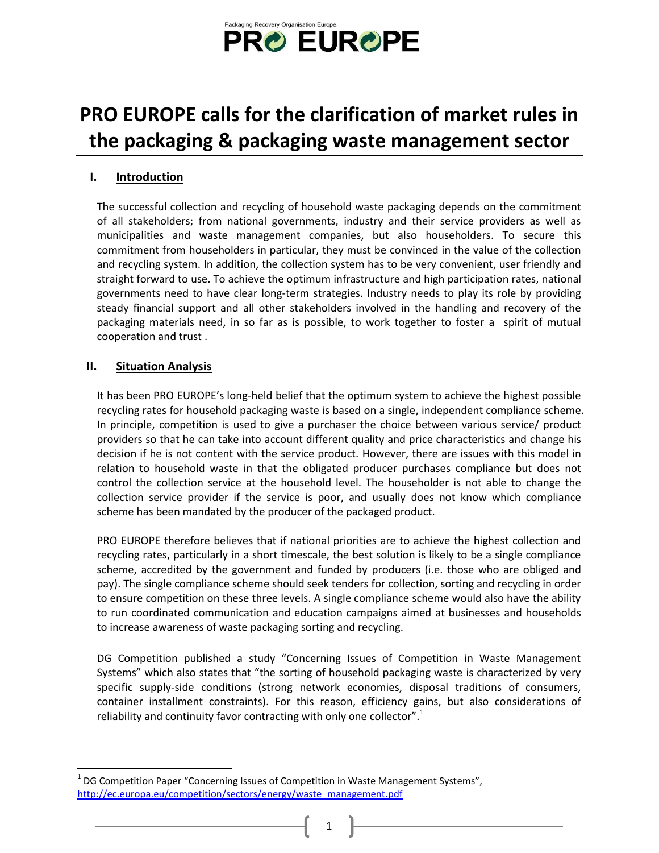

# **PRO EUROPE calls for the clarification of market rules in the packaging & packaging waste management sector**

# **I. Introduction**

The successful collection and recycling of household waste packaging depends on the commitment of all stakeholders; from national governments, industry and their service providers as well as municipalities and waste management companies, but also householders. To secure this commitment from householders in particular, they must be convinced in the value of the collection and recycling system. In addition, the collection system has to be very convenient, user friendly and straight forward to use. To achieve the optimum infrastructure and high participation rates, national governments need to have clear long-term strategies. Industry needs to play its role by providing steady financial support and all other stakeholders involved in the handling and recovery of the packaging materials need, in so far as is possible, to work together to foster a spirit of mutual cooperation and trust .

## **II. Situation Analysis**

 $\overline{a}$ 

It has been PRO EUROPE's long-held belief that the optimum system to achieve the highest possible recycling rates for household packaging waste is based on a single, independent compliance scheme. In principle, competition is used to give a purchaser the choice between various service/ product providers so that he can take into account different quality and price characteristics and change his decision if he is not content with the service product. However, there are issues with this model in relation to household waste in that the obligated producer purchases compliance but does not control the collection service at the household level. The householder is not able to change the collection service provider if the service is poor, and usually does not know which compliance scheme has been mandated by the producer of the packaged product.

PRO EUROPE therefore believes that if national priorities are to achieve the highest collection and recycling rates, particularly in a short timescale, the best solution is likely to be a single compliance scheme, accredited by the government and funded by producers (i.e. those who are obliged and pay). The single compliance scheme should seek tenders for collection, sorting and recycling in order to ensure competition on these three levels. A single compliance scheme would also have the ability to run coordinated communication and education campaigns aimed at businesses and households to increase awareness of waste packaging sorting and recycling.

DG Competition published a study "Concerning Issues of Competition in Waste Management Systems" which also states that "the sorting of household packaging waste is characterized by very specific supply-side conditions (strong network economies, disposal traditions of consumers, container installment constraints). For this reason, efficiency gains, but also considerations of reliability and continuity favor contracting with only one collector".<sup>1</sup>

 $<sup>1</sup>$  DG Competition Paper "Concerning Issues of Competition in Waste Management Systems",</sup> [http://ec.europa.eu/competition/sectors/energy/waste\\_management.pdf](http://ec.europa.eu/competition/sectors/energy/waste_management.pdf)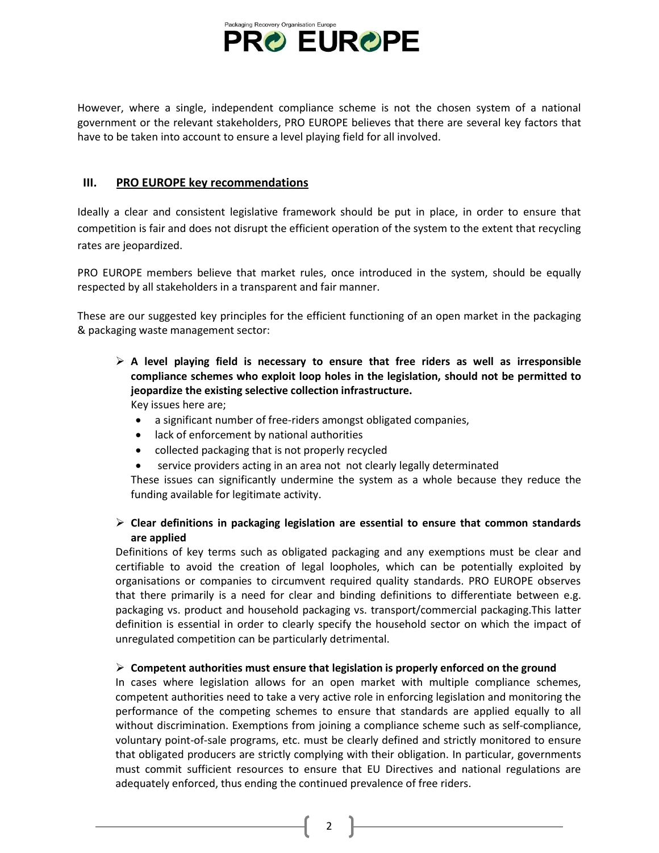

However, where a single, independent compliance scheme is not the chosen system of a national government or the relevant stakeholders, PRO EUROPE believes that there are several key factors that have to be taken into account to ensure a level playing field for all involved.

## **III. PRO EUROPE key recommendations**

Ideally a clear and consistent legislative framework should be put in place, in order to ensure that competition is fair and does not disrupt the efficient operation of the system to the extent that recycling rates are jeopardized.

PRO EUROPE members believe that market rules, once introduced in the system, should be equally respected by all stakeholders in a transparent and fair manner.

These are our suggested key principles for the efficient functioning of an open market in the packaging & packaging waste management sector:

 **A level playing field is necessary to ensure that free riders as well as irresponsible compliance schemes who exploit loop holes in the legislation, should not be permitted to jeopardize the existing selective collection infrastructure.**  Key issues here are;

- a significant number of free-riders amongst obligated companies,
- lack of enforcement by national authorities
- collected packaging that is not properly recycled
- service providers acting in an area not not clearly legally determinated

These issues can significantly undermine the system as a whole because they reduce the funding available for legitimate activity.

## **Clear definitions in packaging legislation are essential to ensure that common standards are applied**

Definitions of key terms such as obligated packaging and any exemptions must be clear and certifiable to avoid the creation of legal loopholes, which can be potentially exploited by organisations or companies to circumvent required quality standards. PRO EUROPE observes that there primarily is a need for clear and binding definitions to differentiate between e.g. packaging vs. product and household packaging vs. transport/commercial packaging.This latter definition is essential in order to clearly specify the household sector on which the impact of unregulated competition can be particularly detrimental.

### **Competent authorities must ensure that legislation is properly enforced on the ground**

In cases where legislation allows for an open market with multiple compliance schemes, competent authorities need to take a very active role in enforcing legislation and monitoring the performance of the competing schemes to ensure that standards are applied equally to all without discrimination. Exemptions from joining a compliance scheme such as self-compliance, voluntary point-of-sale programs, etc. must be clearly defined and strictly monitored to ensure that obligated producers are strictly complying with their obligation. In particular, governments must commit sufficient resources to ensure that EU Directives and national regulations are adequately enforced, thus ending the continued prevalence of free riders.

2  $\parallel$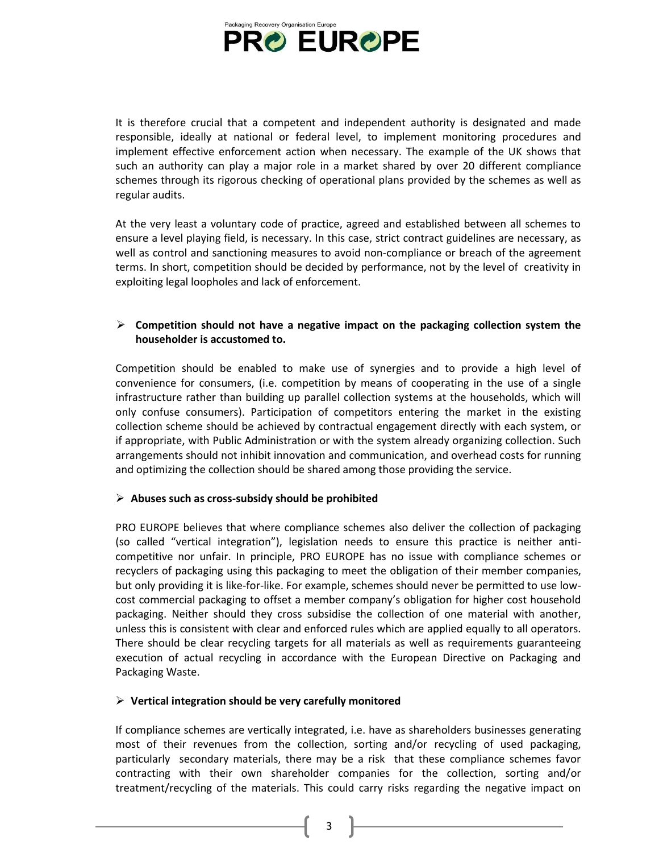

It is therefore crucial that a competent and independent authority is designated and made responsible, ideally at national or federal level, to implement monitoring procedures and implement effective enforcement action when necessary. The example of the UK shows that such an authority can play a major role in a market shared by over 20 different compliance schemes through its rigorous checking of operational plans provided by the schemes as well as regular audits.

At the very least a voluntary code of practice, agreed and established between all schemes to ensure a level playing field, is necessary. In this case, strict contract guidelines are necessary, as well as control and sanctioning measures to avoid non-compliance or breach of the agreement terms. In short, competition should be decided by performance, not by the level of creativity in exploiting legal loopholes and lack of enforcement.

## **Competition should not have a negative impact on the packaging collection system the householder is accustomed to.**

Competition should be enabled to make use of synergies and to provide a high level of convenience for consumers, (i.e. competition by means of cooperating in the use of a single infrastructure rather than building up parallel collection systems at the households, which will only confuse consumers). Participation of competitors entering the market in the existing collection scheme should be achieved by contractual engagement directly with each system, or if appropriate, with Public Administration or with the system already organizing collection. Such arrangements should not inhibit innovation and communication, and overhead costs for running and optimizing the collection should be shared among those providing the service.

### **Abuses such as cross-subsidy should be prohibited**

PRO EUROPE believes that where compliance schemes also deliver the collection of packaging (so called "vertical integration"), legislation needs to ensure this practice is neither anticompetitive nor unfair. In principle, PRO EUROPE has no issue with compliance schemes or recyclers of packaging using this packaging to meet the obligation of their member companies, but only providing it is like-for-like. For example, schemes should never be permitted to use lowcost commercial packaging to offset a member company's obligation for higher cost household packaging. Neither should they cross subsidise the collection of one material with another, unless this is consistent with clear and enforced rules which are applied equally to all operators. There should be clear recycling targets for all materials as well as requirements guaranteeing execution of actual recycling in accordance with the European Directive on Packaging and Packaging Waste.

#### **Vertical integration should be very carefully monitored**

If compliance schemes are vertically integrated, i.e. have as shareholders businesses generating most of their revenues from the collection, sorting and/or recycling of used packaging, particularly secondary materials, there may be a risk that these compliance schemes favor contracting with their own shareholder companies for the collection, sorting and/or treatment/recycling of the materials. This could carry risks regarding the negative impact on

3